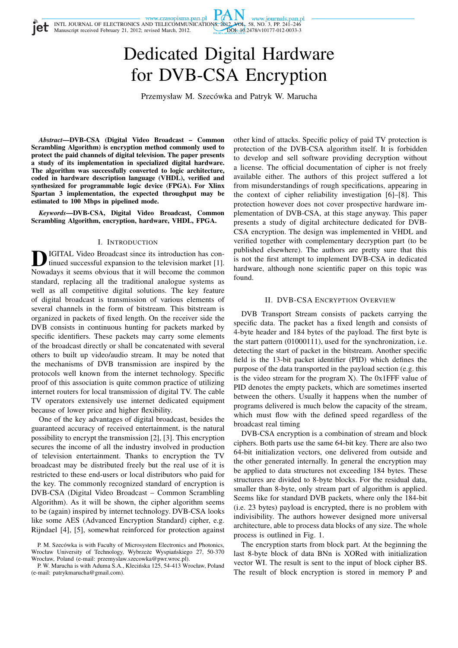# Dedicated Digital Hardware for DVB-CSA Encryption

Przemysław M. Szecówka and Patryk W. Marucha

*Abstract***—DVB-CSA (Digital Video Broadcast – Common Scrambling Algorithm) is encryption method commonly used to protect the paid channels of digital television. The paper presents a study of its implementation in specialized digital hardware. The algorithm was successfully converted to logic architecture, coded in hardware description language (VHDL), verified and synthesized for programmable logic device (FPGA). For Xlinx Spartan 3 implementation, the expected throughput may be estimated to 100 Mbps in pipelined mode.**

*Keywords***—DVB-CSA, Digital Video Broadcast, Common Scrambling Algorithm, encryption, hardware, VHDL, FPGA.**

## I. INTRODUCTION

**D** IGITAL Video Broadcast since its introduction has continued successful expansion to the television market [1].<br>Nowadays it seems obvious that it will become the common IGITAL Video Broadcast since its introduction has continued successful expansion to the television market [1]. standard, replacing all the traditional analogue systems as well as all competitive digital solutions. The key feature of digital broadcast is transmission of various elements of several channels in the form of bitstream. This bitstream is organized in packets of fixed length. On the receiver side the DVB consists in continuous hunting for packets marked by specific identifiers. These packets may carry some elements of the broadcast directly or shall be concatenated with several others to built up video/audio stream. It may be noted that the mechanisms of DVB transmission are inspired by the protocols well known from the internet technology. Specific proof of this association is quite common practice of utilizing internet routers for local transmission of digital TV. The cable TV operators extensively use internet dedicated equipment because of lower price and higher flexibility.

One of the key advantages of digital broadcast, besides the guaranteed accuracy of received entertainment, is the natural possibility to encrypt the transmission [2], [3]. This encryption secures the income of all the industry involved in production of television entertainment. Thanks to encryption the TV broadcast may be distributed freely but the real use of it is restricted to these end-users or local distributors who paid for the key. The commonly recognized standard of encryption is DVB-CSA (Digital Video Broadcast – Common Scrambling Algorithm). As it will be shown, the cipher algorithm seems to be (again) inspired by internet technology. DVB-CSA looks like some AES (Advanced Encryption Standard) cipher, e.g. Rijndael [4], [5], somewhat reinforced for protection against other kind of attacks. Specific policy of paid TV protection is protection of the DVB-CSA algorithm itself. It is forbidden to develop and sell software providing decryption without a license. The official documentation of cipher is not freely available either. The authors of this project suffered a lot from misunderstandings of rough specifications, appearing in the context of cipher reliability investigation [6]–[8]. This protection however does not cover prospective hardware implementation of DVB-CSA, at this stage anyway. This paper presents a study of digital architecture dedicated for DVB-CSA encryption. The design was implemented in VHDL and verified together with complementary decryption part (to be published elsewhere). The authors are pretty sure that this is not the first attempt to implement DVB-CSA in dedicated hardware, although none scientific paper on this topic was found.

## II. DVB-CSA ENCRYPTION OVERVIEW

DVB Transport Stream consists of packets carrying the specific data. The packet has a fixed length and consists of 4-byte header and 184 bytes of the payload. The first byte is the start pattern (01000111), used for the synchronization, i.e. detecting the start of packet in the bitstream. Another specific field is the 13-bit packet identifier (PID) which defines the purpose of the data transported in the payload section (e.g. this is the video stream for the program X). The 0x1FFF value of PID denotes the empty packets, which are sometimes inserted between the others. Usually it happens when the number of programs delivered is much below the capacity of the stream, which must flow with the defined speed regardless of the broadcast real timing

DVB-CSA encryption is a combination of stream and block ciphers. Both parts use the same 64-bit key. There are also two 64-bit initialization vectors, one delivered from outside and the other generated internally. In general the encryption may be applied to data structures not exceeding 184 bytes. These structures are divided to 8-byte blocks. For the residual data, smaller than 8-byte, only stream part of algorithm is applied. Seems like for standard DVB packets, where only the 184-bit (i.e. 23 bytes) payload is encrypted, there is no problem with indivisibility. The authors however designed more universal architecture, able to process data blocks of any size. The whole process is outlined in Fig. 1.

The encryption starts from block part. At the beginning the last 8-byte block of data BNn is XORed with initialization vector WI. The result is sent to the input of block cipher BS. The result of block encryption is stored in memory P and

P. M. Szecówka is with Faculty of Microsystem Electronics and Photonics. Wrocław University of Technology, Wybrzeże Wyspiańskiego 27, 50-370 Wrocław, Poland (e-mail: przemyslaw.szecowka@pwr.wroc.pl).

P. W. Marucha is with Aduma S.A., Klecińska 125, 54-413 Wrocław, Poland (e-mail: patrykmarucha@gmail.com).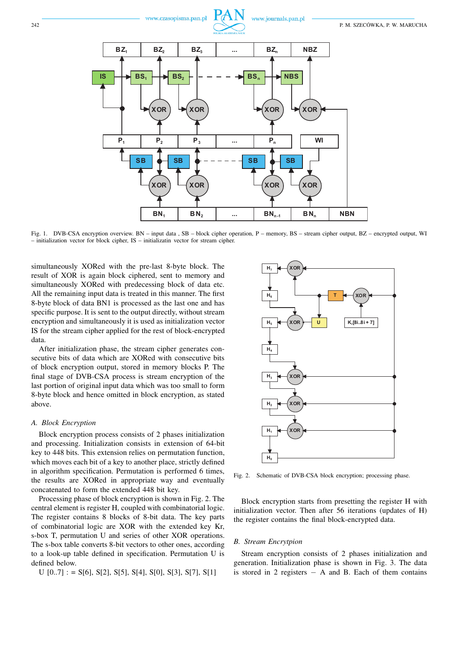

Fig. 1. DVB-CSA encryption overview. BN – input data , SB – block cipher operation, P – memory, BS – stream cipher output, BZ – encrypted output, WI – initialization vector for block cipher, IS – initializatin vector for stream cipher.

simultaneously XORed with the pre-last 8-byte block. The result of XOR is again block ciphered, sent to memory and simultaneously XORed with predecessing block of data etc. All the remaining input data is treated in this manner. The first 8-byte block of data BN1 is processed as the last one and has specific purpose. It is sent to the output directly, without stream encryption and simultaneously it is used as initialization vector IS for the stream cipher applied for the rest of block-encrypted data.

After initialization phase, the stream cipher generates consecutive bits of data which are XORed with consecutive bits of block encryption output, stored in memory blocks P. The final stage of DVB-CSA process is stream encryption of the last portion of original input data which was too small to form 8-byte block and hence omitted in block encryption, as stated above.

## *A. Block Encryption*

Block encryption process consists of 2 phases initialization and processing. Initialization consists in extension of 64-bit key to 448 bits. This extension relies on permutation function, which moves each bit of a key to another place, strictly defined in algorithm specification. Permutation is performed 6 times, the results are XORed in appropriate way and eventually concatenated to form the extended 448 bit key.

Processing phase of block encryption is shown in Fig. 2. The central element is register H, coupled with combinatorial logic. The register contains 8 blocks of 8-bit data. The key parts of combinatorial logic are XOR with the extended key Kr, s-box T, permutation U and series of other XOR operations. The s-box table converts 8-bit vectors to other ones, according to a look-up table defined in specification. Permutation U is defined below.

$$
U
$$
 [0.,7] := S[6], S[2], S[5], S[4], S[0], S[3], S[7], S[1]



Fig. 2. Schematic of DVB-CSA block encryption; processing phase.

Block encryption starts from presetting the register H with initialization vector. Then after 56 iterations (updates of H) the register contains the final block-encrypted data.

## *B. Stream Encrytpion*

Stream encryption consists of 2 phases initialization and generation. Initialization phase is shown in Fig. 3. The data is stored in 2 registers  $- A$  and B. Each of them contains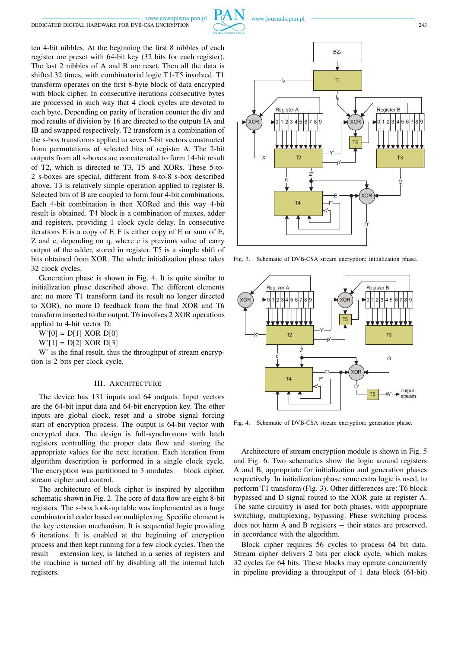www.czasopisma.pan.pl



www.journals.pan.pl

ten 4-bit nibbles. At the beginning the first 8 nibbles of each IA

register are preset with 64-bit key (32 bits for each register). The last 2 nibbles of A and B are reset. Then all the data is shifted 32 times, with combinatorial logic T1-T5 involved. T1 transform operates on the first 8-byte block of data encrypted with block cipher. In consecutive iterations consecutive bytes are processed in such way that 4 clock cycles are devoted to each byte. Depending on parity of iteration counter the div and mod results of division by 16 are directed to the outputs IA and IB and swapped respectively. T2 transform is a combination of the s-box transforms applied to seven 5-bit vectors constructed from permutations of selected bits of register A. The 2-bit outputs from all s-boxes are concatenated to form 14-bit result of T2, which is directed to T3, T5 and XORs. These 5-to-2 s-boxes are special, different from 8-to-8 s-box described above. T3 is relatively simple operation applied to register B. Selected bits of B are coupled to form four 4-bit combinations. Each 4-bit combination is then XORed and this way 4-bit result is obtained. T4 block is a combination of muxes, adder and registers, providing 1 clock cycle delay. In consecutive iterations E is a copy of F, F is either copy of E or sum of E, Z and c, depending on q, where c is previous value of carry output of the adder, stored in register. T5 is a simple shift of bits obtained from XOR. The whole initialization phase takes 32 clock cycles.

Generation phase is shown in Fig. 4. It is quite similar to initialization phase described above. The different elements are: no more T1 transform (and its result no longer directed to XOR), no more D feedback from the final XOR and T6 transform inserted to the output. T6 involves 2 XOR operations applied to 4-bit vector D:

 $W'[0] = D[1]$  XOR  $D[0]$ 

 $W'[1] = D[2] XOR D[3]$ 

W' is the final result, thus the throughput of stream encryption is 2 bits per clock cycle.

#### III. ARCHITECTURE

The device has 131 inputs and 64 outputs. Input vectors are the 64-bit input data and 64-bit encryption key. The other inputs are global clock, reset and a strobe signal forcing start of encryption process. The output is 64-bit vector with encrypted data. The design is full-synchronous with latch registers controlling the proper data flow and storing the appropriate values for the next iteration. Each iteration from algorithm description is performed in a single clock cycle. The encryption was partitioned to 3 modules − block cipher, stream cipher and control.

The architecture of block cipher is inspired by algorithm schematic shown in Fig. 2. The core of data flow are eight 8-bit registers. The s-box look-up table was implemented as a huge combinatorial coder based on multiplexing. Specific element is the key extension mechanism. It is sequential logic providing 6 iterations. It is enabled at the beginning of encryption process and then kept running for a few clock cycles. Then the result − extension key, is latched in a series of registers and the machine is turned off by disabling all the internal latch registers.





Fig. 3. Schematic of DVB-CSA stream encryption; initialization phase.



Fig. 4. Schematic of DVB-CSA stream encryption; generation phase.

Architecture of stream encryption module is shown in Fig. 5 and Fig. 6. Two schematics show the logic around registers A and B, appropriate for initialization and generation phases respectively. In initialization phase some extra logic is used, to perform T1 transform (Fig. 3). Other differences are: T6 block bypassed and D signal routed to the XOR gate at register A. The same circuitry is used for both phases, with appropriate switching, multiplexing, bypassing. Phase switching process does not harm A and B registers – their states are preserved, in accordance with the algorithm.

Block cipher requires 56 cycles to process 64 bit data. Stream cipher delivers 2 bits per clock cycle, which makes 32 cycles for 64 bits. These blocks may operate concurrently in pipeline providing a throughput of 1 data block (64-bit)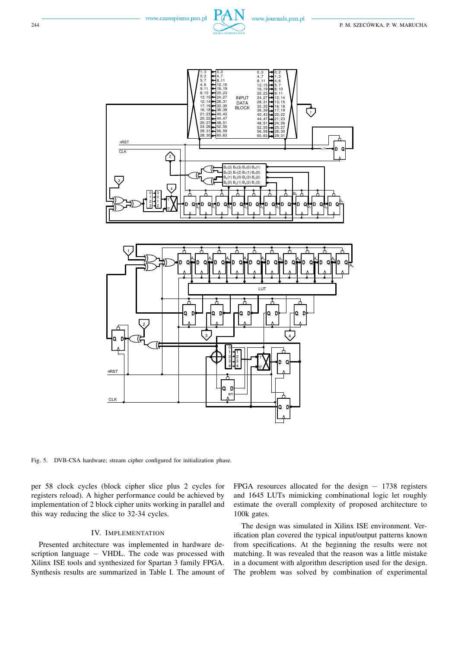



Fig. 5. DVB-CSA hardware; stream cipher configured for initialization phase.

per 58 clock cycles (block cipher slice plus 2 cycles for registers reload). A higher performance could be achieved by implementation of 2 block cipher units working in parallel and this way reducing the slice to 32-34 cycles.

# IV. IMPLEMENTATION

Presented architecture was implemented in hardware description language – VHDL. The code was processed with Xilinx ISE tools and synthesized for Spartan 3 family FPGA. Synthesis results are summarized in Table I. The amount of FPGA resources allocated for the design  $-1738$  registers and 1645 LUTs mimicking combinational logic let roughly estimate the overall complexity of proposed architecture to 100k gates.

The design was simulated in Xilinx ISE environment. Verification plan covered the typical input/output patterns known from specifications. At the beginning the results were not matching. It was revealed that the reason was a little mistake in a document with algorithm description used for the design. The problem was solved by combination of experimental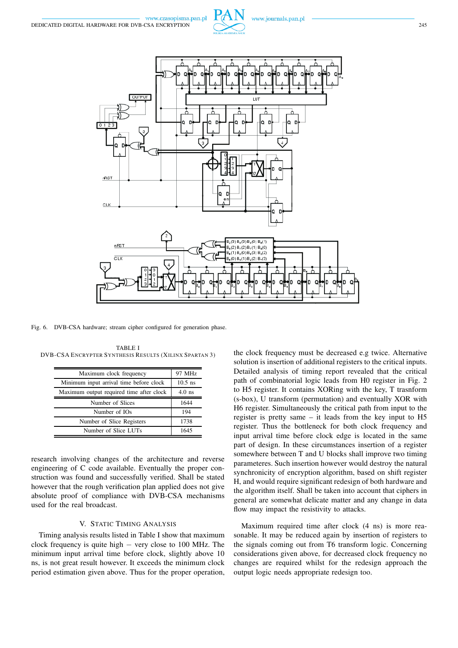



Fig. 6. DVB-CSA hardware; stream cipher configured for generation phase.

| Maximum clock frequency                  | 97 MHz    |
|------------------------------------------|-----------|
| Minimum input arrival time before clock  | $10.5$ ns |
| Maximum output required time after clock | $4.0$ ns  |
| Number of Slices                         | 1644      |
| Number of IOs                            | 194       |
| Number of Slice Registers                | 1738      |
| Number of Slice LUTs                     | 1645      |

TABLE I DVB-CSA ENCRYPTER SYNTHESIS RESULTS (XILINX SPARTAN 3)

research involving changes of the architecture and reverse engineering of C code available. Eventually the proper construction was found and successfully verified. Shall be stated however that the rough verification plan applied does not give absolute proof of compliance with DVB-CSA mechanisms used for the real broadcast.

# V. STATIC TIMING ANALYSIS

Timing analysis results listed in Table I show that maximum clock frequency is quite high − very close to 100 MHz. The minimum input arrival time before clock, slightly above 10 ns, is not great result however. It exceeds the minimum clock period estimation given above. Thus for the proper operation, the clock frequency must be decreased e.g twice. Alternative solution is insertion of additional registers to the critical inputs. Detailed analysis of timing report revealed that the critical path of combinatorial logic leads from H0 register in Fig. 2 to H5 register. It contains XORing with the key, T trasnform (s-box), U transform (permutation) and eventually XOR with H6 register. Simultaneously the critical path from input to the register is pretty same – it leads from the key input to H5 register. Thus the bottleneck for both clock frequency and input arrival time before clock edge is located in the same part of design. In these circumstances insertion of a register somewhere between T and U blocks shall improve two timing parameteres. Such insertion however would destroy the natural synchronicity of encryption algorithm, based on shift register H, and would require significant redesign of both hardware and the algorithm itself. Shall be taken into account that ciphers in general are somewhat delicate matter and any change in data flow may impact the resistivity to attacks.

Maximum required time after clock (4 ns) is more reasonable. It may be reduced again by insertion of registers to the signals coming out from T6 transform logic. Concerning considerations given above, for decreased clock frequency no changes are required whilst for the redesign approach the output logic needs appropriate redesign too.